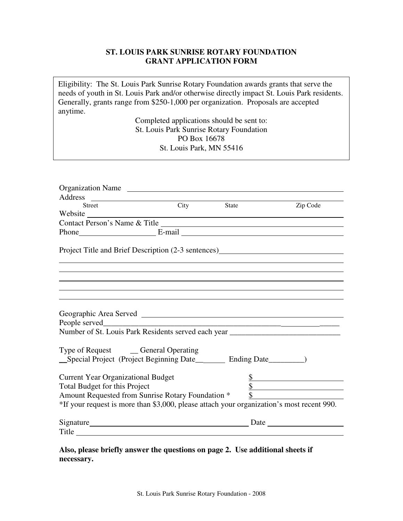## **ST. LOUIS PARK SUNRISE ROTARY FOUNDATION GRANT APPLICATION FORM**

Eligibility: The St. Louis Park Sunrise Rotary Foundation awards grants that serve the needs of youth in St. Louis Park and/or otherwise directly impact St. Louis Park residents. Generally, grants range from \$250-1,000 per organization. Proposals are accepted anytime.

> Completed applications should be sent to: St. Louis Park Sunrise Rotary Foundation PO Box 16678 St. Louis Park, MN 55416

| Organization Name                                                                                                                                                                                                              |             |       |                 |
|--------------------------------------------------------------------------------------------------------------------------------------------------------------------------------------------------------------------------------|-------------|-------|-----------------|
|                                                                                                                                                                                                                                |             |       |                 |
| Street                                                                                                                                                                                                                         | <b>City</b> | State | Zip Code        |
|                                                                                                                                                                                                                                |             |       |                 |
| Contact Person's Name & Title                                                                                                                                                                                                  |             |       |                 |
| Phone E-mail E-mail E-mail E-mail E-mail E-mail E-mail E-mail E-mail E-mail E-mail E-mail E-mail E-mail E-mail E-mail E-mail E-mail E-mail E-mail E-mail E-mail E-mail E-mail E-mail E-mail E-mail E-mail E-mail E-mail E-mail |             |       |                 |
| Project Title and Brief Description (2-3 sentences)______________________________                                                                                                                                              |             |       |                 |
|                                                                                                                                                                                                                                |             |       |                 |
|                                                                                                                                                                                                                                |             |       |                 |
|                                                                                                                                                                                                                                |             |       |                 |
| Number of St. Louis Park Residents served each year _____________________________                                                                                                                                              |             |       |                 |
| Type of Request ________ General Operating<br>__Special Project (Project Beginning Date__________ Ending Date_________)                                                                                                        |             |       |                 |
| <b>Current Year Organizational Budget</b>                                                                                                                                                                                      |             |       |                 |
| Total Budget for this Project                                                                                                                                                                                                  |             |       | $\frac{\$}{\$}$ |
|                                                                                                                                                                                                                                |             |       |                 |
| *If your request is more than \$3,000, please attach your organization's most recent 990.                                                                                                                                      |             |       |                 |
|                                                                                                                                                                                                                                |             |       | <b>Date</b>     |
| Title                                                                                                                                                                                                                          |             |       |                 |
|                                                                                                                                                                                                                                |             |       |                 |

**Also, please briefly answer the questions on page 2. Use additional sheets if necessary.**